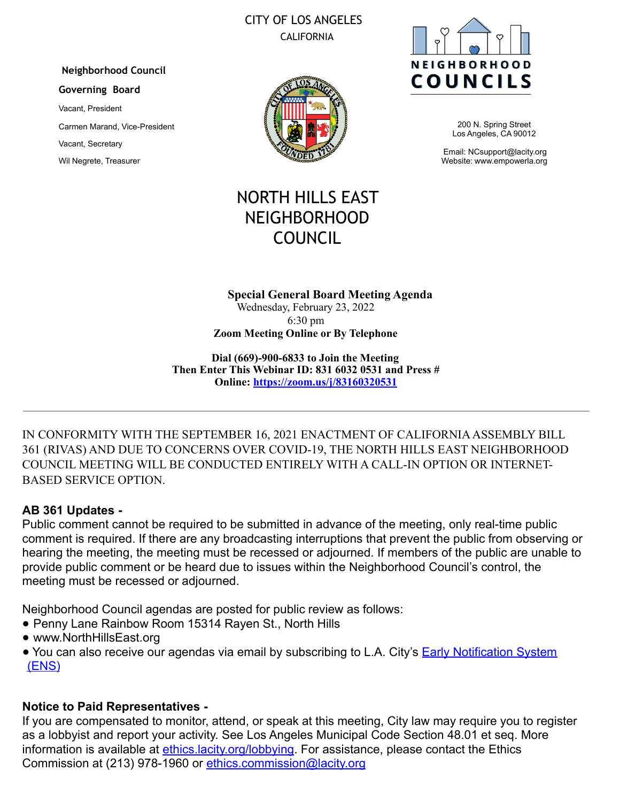# CITY OF LOS ANGELES CALIFORNIA

#### **Neighborhood Council**

#### **Governing Board**

Vacant, President Carmen Marand, Vice-President Vacant, Secretary Wil Negrete, Treasurer





200 N. Spring Street Los Angeles, CA 90012

Email: NCsupport@lacity.org Website: www.empowerla.org

# NORTH HILLS EAST NEIGHBORHOOD COUNCIL

#### **Special General Board Meeting Agenda**  Wednesday, February 23, 2022 6:30 pm

**Zoom Meeting Online or By Telephone** 

**Dial (669)-900-6833 to Join the Meeting Then Enter This Webinar ID: 831 6032 0531 and Press # Online: https://zoom.us/j/83160320531**

IN CONFORMITY WITH THE SEPTEMBER 16, 2021 ENACTMENT OF CALIFORNIA ASSEMBLY BILL 361 (RIVAS) AND DUE TO CONCERNS OVER COVID-19, THE NORTH HILLS EAST NEIGHBORHOOD COUNCIL MEETING WILL BE CONDUCTED ENTIRELY WITH A CALL-IN OPTION OR INTERNET-BASED SERVICE OPTION.

# **AB 361 Updates -**

Public comment cannot be required to be submitted in advance of the meeting, only real-time public comment is required. If there are any broadcasting interruptions that prevent the public from observing or hearing the meeting, the meeting must be recessed or adjourned. If members of the public are unable to provide public comment or be heard due to issues within the Neighborhood Council's control, the meeting must be recessed or adjourned.

Neighborhood Council agendas are posted for public review as follows:

- Penny Lane Rainbow Room 15314 Rayen St., North Hills
- www.NorthHillsEast.org
- You can also receive our agendas via email by subscribing to L.A. City's **Early Notification System** (ENS)

# **Notice to Paid Representatives -**

If you are compensated to monitor, attend, or speak at this meeting, City law may require you to register as a lobbyist and report your activity. See Los Angeles Municipal Code Section 48.01 et seq. More information is available at *ethics.lacity.org/lobbying*. For assistance, please contact the Ethics Commission at (213) 978-1960 or ethics.commission@lacity.org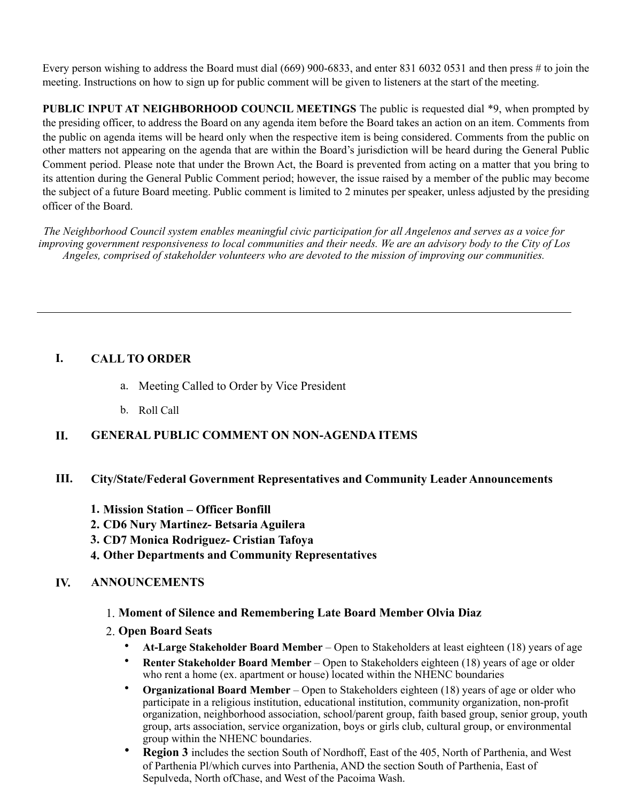Every person wishing to address the Board must dial (669) 900-6833, and enter 831 6032 0531 and then press # to join the meeting. Instructions on how to sign up for public comment will be given to listeners at the start of the meeting.

**PUBLIC INPUT AT NEIGHBORHOOD COUNCIL MEETINGS** The public is requested dial \*9, when prompted by the presiding officer, to address the Board on any agenda item before the Board takes an action on an item. Comments from the public on agenda items will be heard only when the respective item is being considered. Comments from the public on other matters not appearing on the agenda that are within the Board's jurisdiction will be heard during the General Public Comment period. Please note that under the Brown Act, the Board is prevented from acting on a matter that you bring to its attention during the General Public Comment period; however, the issue raised by a member of the public may become the subject of a future Board meeting. Public comment is limited to 2 minutes per speaker, unless adjusted by the presiding officer of the Board.

*The Neighborhood Council system enables meaningful civic participation for all Angelenos and serves as a voice for improving government responsiveness to local communities and their needs. We are an advisory body to the City of Los Angeles, comprised of stakeholder volunteers who are devoted to the mission of improving our communities.* 

# **I. CALL TO ORDER**

- a. Meeting Called to Order by Vice President
- b. Roll Call

# **II. GENERAL PUBLIC COMMENT ON NON-AGENDA ITEMS**

# **III. City/State/Federal Government Representatives and Community Leader Announcements**

- **1. Mission Station – Officer Bonfill**
- **2. CD6 Nury Martinez- Betsaria Aguilera**
- **3. CD7 Monica Rodriguez- Cristian Tafoya**
- **4. Other Departments and Community Representatives**

# **IV. ANNOUNCEMENTS**

# 1. **Moment of Silence and Remembering Late Board Member Olvia Diaz**

- 2. **Open Board Seats** 
	- **At-Large Stakeholder Board Member** Open to Stakeholders at least eighteen (18) years of age
	- **Renter Stakeholder Board Member** Open to Stakeholders eighteen (18) years of age or older who rent a home (ex. apartment or house) located within the NHENC boundaries
	- **Organizational Board Member** Open to Stakeholders eighteen (18) years of age or older who participate in a religious institution, educational institution, community organization, non-profit organization, neighborhood association, school/parent group, faith based group, senior group, youth group, arts association, service organization, boys or girls club, cultural group, or environmental group within the NHENC boundaries.
	- **Region 3** includes the section South of Nordhoff, East of the 405, North of Parthenia, and West of Parthenia Pl/which curves into Parthenia, AND the section South of Parthenia, East of Sepulveda, North ofChase, and West of the Pacoima Wash.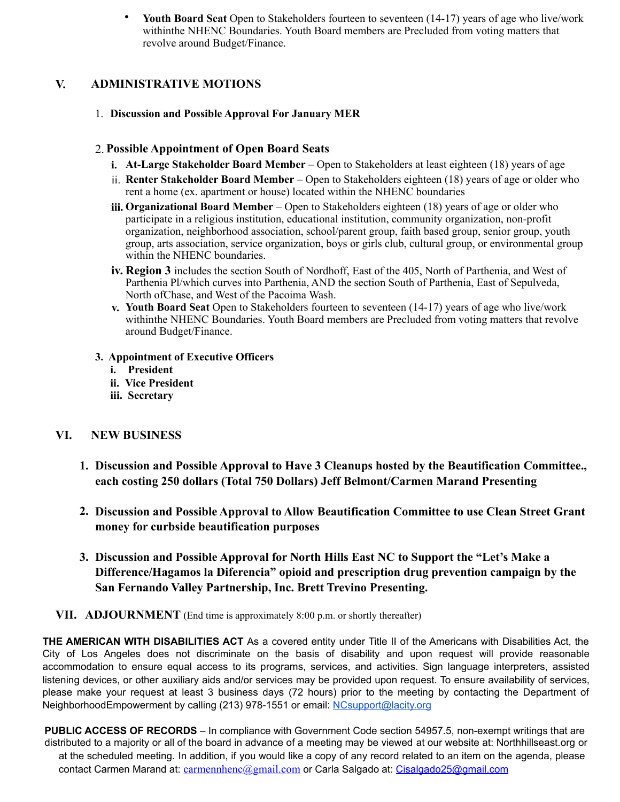• **Youth Board Seat** Open to Stakeholders fourteen to seventeen (14-17) years of age who live/work withinthe NHENC Boundaries. Youth Board members are Precluded from voting matters that revolve around Budget/Finance.

# **V. ADMINISTRATIVE MOTIONS**

1. **Discussion and Possible Approval For January MER** 

#### 2. **Possible Appointment of Open Board Seats**

- **i. At-Large Stakeholder Board Member** Open to Stakeholders at least eighteen (18) years of age
- ii. **Renter Stakeholder Board Member** Open to Stakeholders eighteen (18) years of age or older who rent a home (ex. apartment or house) located within the NHENC boundaries
- **iii. Organizational Board Member** Open to Stakeholders eighteen (18) years of age or older who participate in a religious institution, educational institution, community organization, non-profit organization, neighborhood association, school/parent group, faith based group, senior group, youth group, arts association, service organization, boys or girls club, cultural group, or environmental group within the NHENC boundaries.
- **iv. Region 3** includes the section South of Nordhoff, East of the 405, North of Parthenia, and West of Parthenia Pl/which curves into Parthenia, AND the section South of Parthenia, East of Sepulveda, North ofChase, and West of the Pacoima Wash.
- **v. Youth Board Seat** Open to Stakeholders fourteen to seventeen (14-17) years of age who live/work withinthe NHENC Boundaries. Youth Board members are Precluded from voting matters that revolve around Budget/Finance.

#### **3. Appointment of Executive Officers**

- **i. President**
- **ii. Vice President**
- **iii. Secretary**

### **VI. NEW BUSINESS**

- **1. Discussion and Possible Approval to Have 3 Cleanups hosted by the Beautification Committee., each costing 250 dollars (Total 750 Dollars) Jeff Belmont/Carmen Marand Presenting**
- **2. Discussion and Possible Approval to Allow Beautification Committee to use Clean Street Grant money for curbside beautification purposes**
- **3. Discussion and Possible Approval for North Hills East NC to Support the "Let's Make a Difference/Hagamos la Diferencia" opioid and prescription drug prevention campaign by the San Fernando Valley Partnership, Inc. Brett Trevino Presenting.**
- **VII. ADJOURNMENT** (End time is approximately 8:00 p.m. or shortly thereafter)

**THE AMERICAN WITH DISABILITIES ACT** As a covered entity under Title II of the Americans with Disabilities Act, the City of Los Angeles does not discriminate on the basis of disability and upon request will provide reasonable accommodation to ensure equal access to its programs, services, and activities. Sign language interpreters, assisted listening devices, or other auxiliary aids and/or services may be provided upon request. To ensure availability of services, please make your request at least 3 business days (72 hours) prior to the meeting by contacting the Department of NeighborhoodEmpowerment by calling (213) 978-1551 or email: NCsupport@lacity.org

**PUBLIC ACCESS OF RECORDS** – In compliance with Government Code section 54957.5, non-exempt writings that are distributed to a majority or all of the board in advance of a meeting may be viewed at our website at: Northhillseast.org or at the scheduled meeting. In addition, if you would like a copy of any record related to an item on the agenda, please contact Carmen Marand at: carmennhenc@gmail.com or Carla Salgado at: Cisalgado25@gmail.com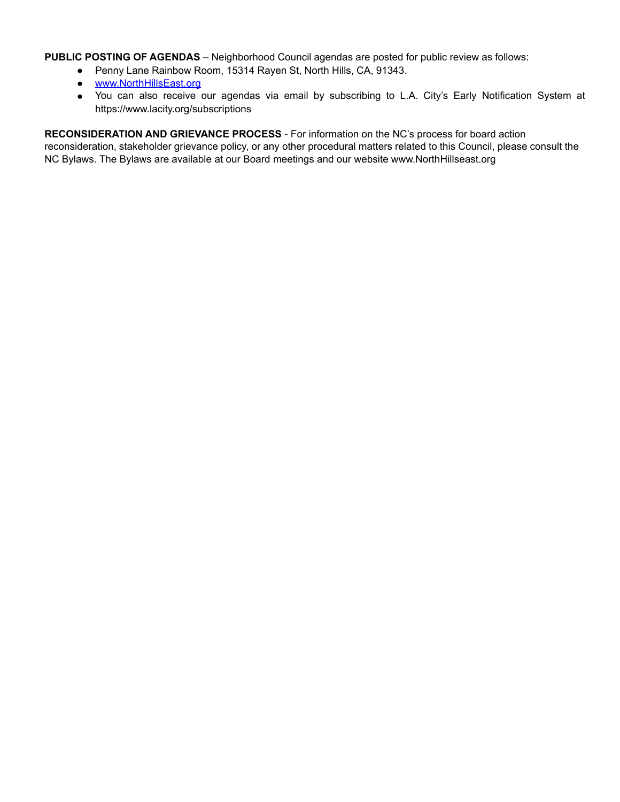**PUBLIC POSTING OF AGENDAS** – Neighborhood Council agendas are posted for public review as follows:

- Penny Lane Rainbow Room, 15314 Rayen St, North Hills, CA, 91343.
- www.NorthHillsEast.org
- You can also receive our agendas via email by subscribing to L.A. City's Early Notification System at https://www.lacity.org/subscriptions

**RECONSIDERATION AND GRIEVANCE PROCESS** - For information on the NC's process for board action reconsideration, stakeholder grievance policy, or any other procedural matters related to this Council, please consult the NC Bylaws. The Bylaws are available at our Board meetings and our website www.NorthHillseast.org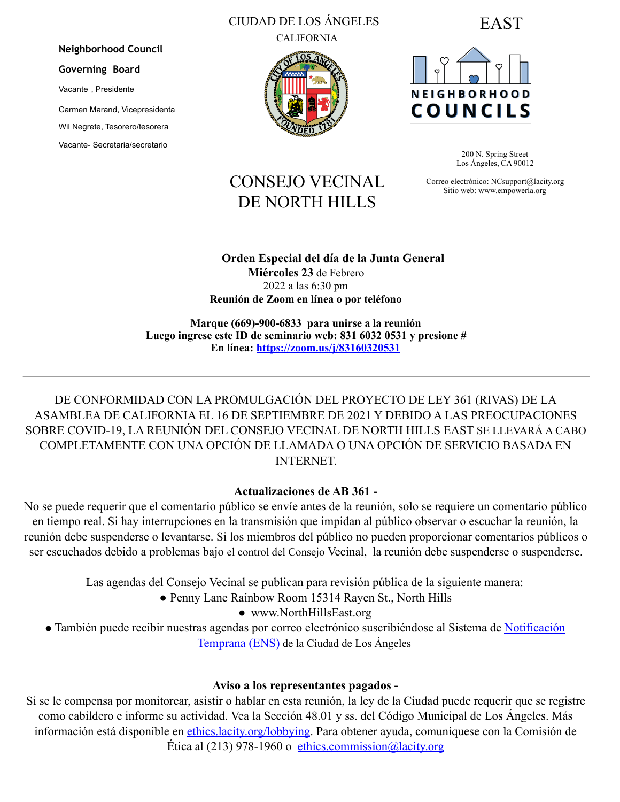# CIUDAD DE LOS ÁNGELES

CALIFORNIA







200 N. Spring Street Los Ángeles, CA 90012

Correo electrónico: NCsupport@lacity.org Sitio web: www.empowerla.org

# CONSEJO VECINAL DE NORTH HILLS

**Orden Especial del día de la Junta General Miércoles 23** de Febrero 2022 a las 6:30 pm

**Reunión de Zoom en línea o por teléfono** 

**Marque (669)-900-6833 para unirse a la reunión Luego ingrese este ID de seminario web: 831 6032 0531 y presione # En línea: https://zoom.us/j/83160320531**

DE CONFORMIDAD CON LA PROMULGACIÓN DEL PROYECTO DE LEY 361 (RIVAS) DE LA ASAMBLEA DE CALIFORNIA EL 16 DE SEPTIEMBRE DE 2021 Y DEBIDO A LAS PREOCUPACIONES SOBRE COVID-19, LA REUNIÓN DEL CONSEJO VECINAL DE NORTH HILLS EAST SE LLEVARÁ A CABO COMPLETAMENTE CON UNA OPCIÓN DE LLAMADA O UNA OPCIÓN DE SERVICIO BASADA EN **INTERNET** 

# **Actualizaciones de AB 361 -**

No se puede requerir que el comentario público se envíe antes de la reunión, solo se requiere un comentario público en tiempo real. Si hay interrupciones en la transmisión que impidan al público observar o escuchar la reunión, la reunión debe suspenderse o levantarse. Si los miembros del público no pueden proporcionar comentarios públicos o ser escuchados debido a problemas bajo el control del Consejo Vecinal, la reunión debe suspenderse o suspenderse.

Las agendas del Consejo Vecinal se publican para revisión pública de la siguiente manera:

- Penny Lane Rainbow Room 15314 Rayen St., North Hills
	- www.NorthHillsEast.org

• También puede recibir nuestras agendas por correo electrónico suscribiéndose al Sistema de Notificación Temprana (ENS) de la Ciudad de Los Ángeles

# **Aviso a los representantes pagados -**

Si se le compensa por monitorear, asistir o hablar en esta reunión, la ley de la Ciudad puede requerir que se registre como cabildero e informe su actividad. Vea la Sección 48.01 y ss. del Código Municipal de Los Ángeles. Más información está disponible en ethics.lacity.org/lobbying. Para obtener ayuda, comuníquese con la Comisión de Ética al (213) 978-1960 o ethics.commission@lacity.org

**Governing Board** Vacante , Presidente Carmen Marand, Vicepresidenta Wil Negrete, Tesorero/tesorera Vacante- Secretaria/secretario

**Neighborhood Council**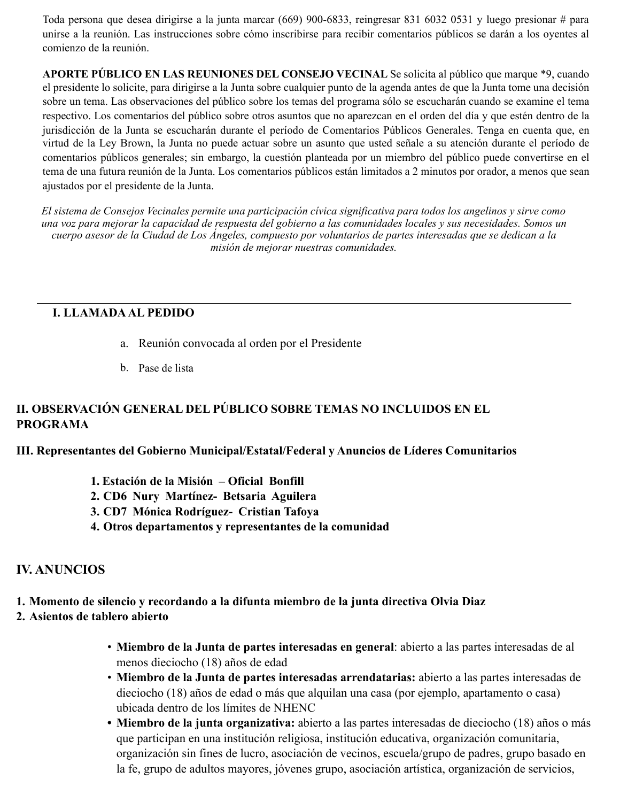Toda persona que desea dirigirse a la junta marcar (669) 900-6833, reingresar 831 6032 0531 y luego presionar # para unirse a la reunión. Las instrucciones sobre cómo inscribirse para recibir comentarios públicos se darán a los oyentes al comienzo de la reunión.

**APORTE PÚBLICO EN LAS REUNIONES DEL CONSEJO VECINAL** Se solicita al público que marque \*9, cuando el presidente lo solicite, para dirigirse a la Junta sobre cualquier punto de la agenda antes de que la Junta tome una decisión sobre un tema. Las observaciones del público sobre los temas del programa sólo se escucharán cuando se examine el tema respectivo. Los comentarios del público sobre otros asuntos que no aparezcan en el orden del día y que estén dentro de la jurisdicción de la Junta se escucharán durante el período de Comentarios Públicos Generales. Tenga en cuenta que, en virtud de la Ley Brown, la Junta no puede actuar sobre un asunto que usted señale a su atención durante el período de comentarios públicos generales; sin embargo, la cuestión planteada por un miembro del público puede convertirse en el tema de una futura reunión de la Junta. Los comentarios públicos están limitados a 2 minutos por orador, a menos que sean ajustados por el presidente de la Junta.

El sistema de Consejos Vecinales permite una participación cívica significativa para todos los angelinos y sirve como *una voz para mejorar la capacidad de respuesta del gobierno a las comunidades locales y sus necesidades. Somos un cuerpo asesor de la Ciudad de Los Ángeles, compuesto por voluntarios de partes interesadas que se dedican a la misión de mejorar nuestras comunidades.* 

# **I. LLAMADA AL PEDIDO**

- a. Reunión convocada al orden por el Presidente
- b. Pase de lista

# **II. OBSERVACIÓN GENERAL DEL PÚBLICO SOBRE TEMAS NO INCLUIDOS EN EL PROGRAMA**

**III. Representantes del Gobierno Municipal/Estatal/Federal y Anuncios de Líderes Comunitarios** 

- **1. Estación de la Misión – Oficial Bonfill**
- **2. CD6 Nury Martínez- Betsaria Aguilera**
- **3. CD7 Mónica Rodríguez- Cristian Tafoya**
- **4. Otros departamentos y representantes de la comunidad**

# **IV. ANUNCIOS**

# **1. Momento de silencio y recordando a la difunta miembro de la junta directiva Olvia Diaz**

# **2. Asientos de tablero abierto**

- **Miembro de la Junta de partes interesadas en general**: abierto a las partes interesadas de al menos dieciocho (18) años de edad
- **Miembro de la Junta de partes interesadas arrendatarias:** abierto a las partes interesadas de dieciocho (18) años de edad o más que alquilan una casa (por ejemplo, apartamento o casa) ubicada dentro de los límites de NHENC
- **• Miembro de la junta organizativa:** abierto a las partes interesadas de dieciocho (18) años o más que participan en una institución religiosa, institución educativa, organización comunitaria, organización sin fines de lucro, asociación de vecinos, escuela/grupo de padres, grupo basado en la fe, grupo de adultos mayores, jóvenes grupo, asociación artística, organización de servicios,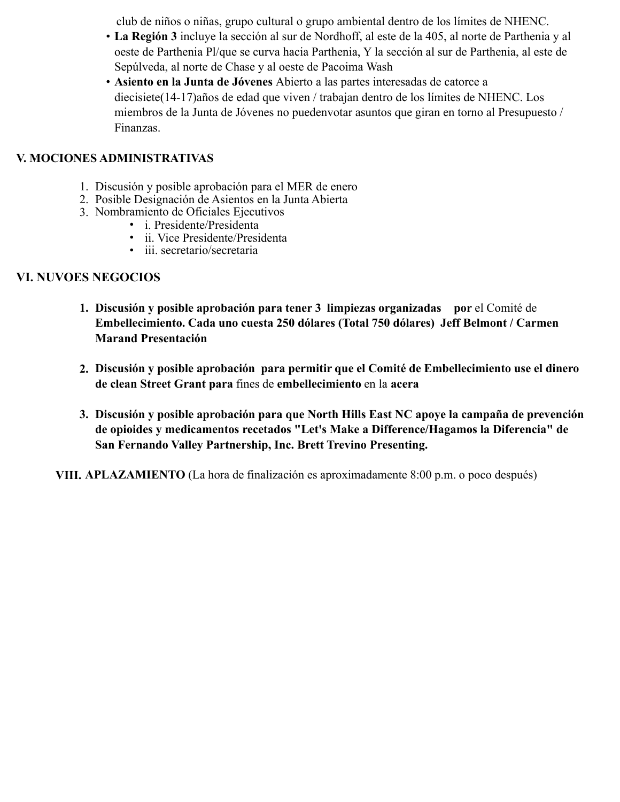club de niños o niñas, grupo cultural o grupo ambiental dentro de los límites de NHENC.

- **La Región 3** incluye la sección al sur de Nordhoff, al este de la 405, al norte de Parthenia y al oeste de Parthenia Pl/que se curva hacia Parthenia, Y la sección al sur de Parthenia, al este de Sepúlveda, al norte de Chase y al oeste de Pacoima Wash
- **Asiento en la Junta de Jóvenes** Abierto a las partes interesadas de catorce a diecisiete(14-17)años de edad que viven / trabajan dentro de los límites de NHENC. Los miembros de la Junta de Jóvenes no puedenvotar asuntos que giran en torno al Presupuesto / Finanzas.

# **V. MOCIONES ADMINISTRATIVAS**

- 1. Discusión y posible aprobación para el MER de enero
- 2. Posible Designación de Asientos en la Junta Abierta
- 3. Nombramiento de Oficiales Ejecutivos
	- i. Presidente/Presidenta
	- ii. Vice Presidente/Presidenta
	- iii. secretario/secretaria

# **VI. NUVOES NEGOCIOS**

- **1. Discusión y posible aprobación para tener 3 limpiezas organizadas por** el Comité de **Embellecimiento. Cada uno cuesta 250 dólares (Total 750 dólares) Jeff Belmont / Carmen Marand Presentación**
- **2. Discusión y posible aprobación para permitir que el Comité de Embellecimiento use el dinero de clean Street Grant para** fines de **embellecimiento** en la **acera**
- **3. Discusión y posible aprobación para que North Hills East NC apoye la campaña de prevención de opioides y medicamentos recetados "Let's Make a Difference/Hagamos la Diferencia" de San Fernando Valley Partnership, Inc. Brett Trevino Presenting.**

**VIII. APLAZAMIENTO** (La hora de finalización es aproximadamente 8:00 p.m. o poco después)